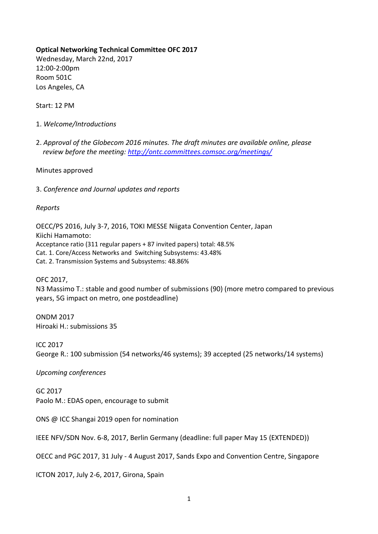**Optical Networking Technical Committee OFC 2017**

Wednesday, March 22nd, 2017 12:00-2:00pm Room 501C Los Angeles, CA

Start: 12 PM

- 1. *Welcome/Introductions*
- 2. *Approval of the Globecom 2016 minutes. The draft minutes are available online, please review before the meeting: <http://ontc.committees.comsoc.org/meetings/>*

Minutes approved

3. *Conference and Journal updates and reports*

*Reports*

OECC/PS 2016, July 3-7, 2016, TOKI MESSE Niigata Convention Center, Japan Kiichi Hamamoto: Acceptance ratio (311 regular papers + 87 invited papers) total: 48.5% Cat. 1. Core/Access Networks and Switching Subsystems: 43.48% Cat. 2. Transmission Systems and Subsystems: 48.86%

OFC 2017,

N3 Massimo T.: stable and good number of submissions (90) (more metro compared to previous years, 5G impact on metro, one postdeadline)

ONDM 2017 Hiroaki H.: submissions 35

ICC 2017 George R.: 100 submission (54 networks/46 systems); 39 accepted (25 networks/14 systems)

*Upcoming conferences*

GC 2017 Paolo M.: EDAS open, encourage to submit

ONS @ ICC Shangai 2019 open for nomination

IEEE NFV/SDN Nov. 6-8, 2017, Berlin Germany (deadline: full paper May 15 (EXTENDED))

OECC and PGC 2017, 31 July - 4 August 2017, Sands Expo and Convention Centre, Singapore

ICTON 2017, July 2-6, 2017, Girona, Spain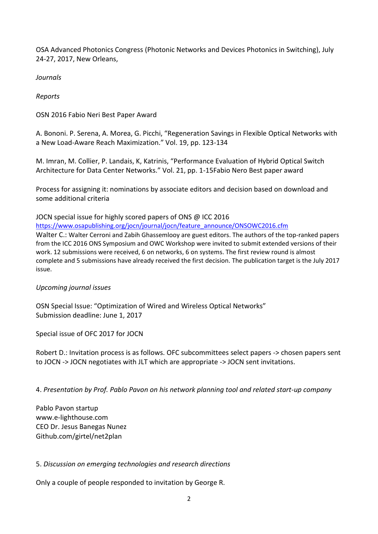OSA Advanced Photonics Congress (Photonic Networks and Devices Photonics in Switching), July 24-27, 2017, New Orleans,

*Journals*

*Reports*

OSN 2016 Fabio Neri Best Paper Award

A. Bononi. P. Serena, A. Morea, G. Picchi, "Regeneration Savings in Flexible Optical Networks with a New Load-Aware Reach Maximization." Vol. 19, pp. 123-134

M. Imran, M. Collier, P. Landais, K, Katrinis, "Performance Evaluation of Hybrid Optical Switch Architecture for Data Center Networks." Vol. 21, pp. 1-15Fabio Nero Best paper award

Process for assigning it: nominations by associate editors and decision based on download and some additional criteria

JOCN special issue for highly scored papers of ONS @ ICC 2016 [https://www.osapublishing.org/jocn/journal/jocn/feature\\_announce/ONSOWC2016.cfm](https://www.osapublishing.org/jocn/journal/jocn/feature_announce/ONSOWC2016.cfm) Walter C.: Walter Cerroni and Zabih Ghassemlooy are guest editors. The authors of the top-ranked papers from the ICC 2016 ONS Symposium and OWC Workshop were invited to submit extended versions of their work. 12 submissions were received, 6 on networks, 6 on systems. The first review round is almost complete and 5 submissions have already received the first decision. The publication target is the July 2017

## *Upcoming journal issues*

issue.

OSN Special Issue: "Optimization of Wired and Wireless Optical Networks" Submission deadline: June 1, 2017

Special issue of OFC 2017 for JOCN

Robert D.: Invitation process is as follows. OFC subcommittees select papers -> chosen papers sent to JOCN -> JOCN negotiates with JLT which are appropriate -> JOCN sent invitations.

4. *Presentation by Prof. Pablo Pavon on his network planning tool and related start-up company*

Pablo Pavon startup www.e-lighthouse.com CEO Dr. Jesus Banegas Nunez Github.com/girtel/net2plan

## 5. *Discussion on emerging technologies and research directions*

Only a couple of people responded to invitation by George R.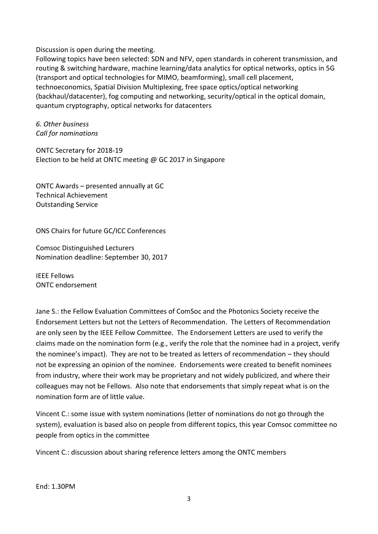Discussion is open during the meeting.

Following topics have been selected: SDN and NFV, open standards in coherent transmission, and routing & switching hardware, machine learning/data analytics for optical networks, optics in 5G (transport and optical technologies for MIMO, beamforming), small cell placement, technoeconomics, Spatial Division Multiplexing, free space optics/optical networking (backhaul/datacenter), fog computing and networking, security/optical in the optical domain, quantum cryptography, optical networks for datacenters

*6. Other business Call for nominations*

ONTC Secretary for 2018-19 Election to be held at ONTC meeting @ GC 2017 in Singapore

ONTC Awards – presented annually at GC Technical Achievement Outstanding Service

ONS Chairs for future GC/ICC Conferences

Comsoc Distinguished Lecturers Nomination deadline: September 30, 2017

IEEE Fellows ONTC endorsement

Jane S.: the Fellow Evaluation Committees of ComSoc and the Photonics Society receive the Endorsement Letters but not the Letters of Recommendation. The Letters of Recommendation are only seen by the IEEE Fellow Committee. The Endorsement Letters are used to verify the claims made on the nomination form (e.g., verify the role that the nominee had in a project, verify the nominee's impact). They are not to be treated as letters of recommendation – they should not be expressing an opinion of the nominee. Endorsements were created to benefit nominees from industry, where their work may be proprietary and not widely publicized, and where their colleagues may not be Fellows. Also note that endorsements that simply repeat what is on the nomination form are of little value.

Vincent C.: some issue with system nominations (letter of nominations do not go through the system), evaluation is based also on people from different topics, this year Comsoc committee no people from optics in the committee

Vincent C.: discussion about sharing reference letters among the ONTC members

End: 1.30PM